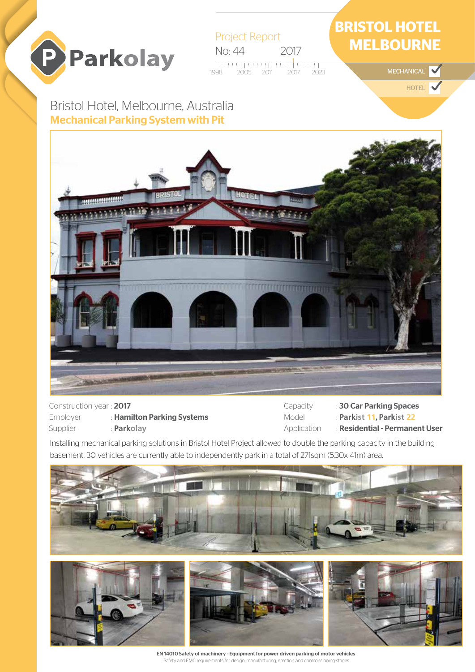

Project Report No: 44 2017 <del>. . . . . . . . . .</del> 2005 2011 2017 2023

## **BRISTOL HOTEL MELBOURNE**

MECHANICAL

HOTEL

## Bristol Hotel, Melbourne, Australia Mechanical Parking System with Pit



Construction year : 2017 Employer : Hamilton Parking Systems Supplier : **Parkolay** 

Capacity : 30 Car Parking Spaces Model : **Parkist 11**, **Parkist 22** Application : Residential - Permanent User

Installing mechanical parking solutions in Bristol Hotel Project allowed to double the parking capacity in the building basement. 30 vehicles are currently able to independently park in a total of 271sqm (5,30x 41m) area.





EN 14010 Safety of machinery - Equipment for power driven parking of motor vehicles Safety and EMC requirements for design, manufacturing, erection and commissioning stages